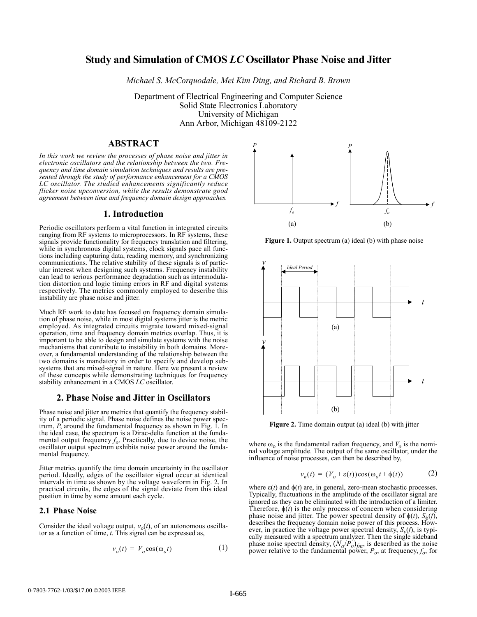# **Study and Simulation of CMOS** *LC* **Oscillator Phase Noise and Jitter**

*Michael S. McCorquodale, Mei Kim Ding, and Richard B. Brown*

Department of Electrical Engineering and Computer Science Solid State Electronics Laboratory University of Michigan Ann Arbor, Michigan 48109-2122

# **ABSTRACT**

*In this work we review the processes of phase noise and jitter in electronic oscillators and the relationship between the two. Frequency and time domain simulation techniques and results are presented through the study of performance enhancement for a CMOS LC oscillator. The studied enhancements significantly reduce flicker noise upconversion, while the results demonstrate good agreement between time and frequency domain design approaches.*

# **1. Introduction**

Periodic oscillators perform a vital function in integrated circuits ranging from RF systems to microprocessors. In RF systems, these signals provide functionality for frequency translation and filtering, while in synchronous digital systems, clock signals pace all functions including capturing data, reading memory, and synchronizing communications. The relative stability of these signals is of particular interest when designing such systems. Frequency instability can lead to serious performance degradation such as intermodulation distortion and logic timing errors in RF and digital systems respectively. The metrics commonly employed to describe this instability are phase noise and jitter.

Much RF work to date has focused on frequency domain simulation of phase noise, while in most digital systems jitter is the metric employed. As integrated circuits migrate toward mixed-signal operation, time and frequency domain metrics overlap. Thus, it is important to be able to design and simulate systems with the noise mechanisms that contribute to instability in both domains. Moreover, a fundamental understanding of the relationship between the two domains is mandatory in order to specify and develop subsystems that are mixed-signal in nature. Here we present a review of these concepts while demonstrating techniques for frequency stability enhancement in a CMOS *LC* oscillator.

### **2. Phase Noise and Jitter in Oscillators**

Phase noise and jitter are metrics that quantify the frequency stability of a periodic signal. Phase noise defines the noise power spectrum, *P*, around the fundamental frequency as shown in Fig. 1. In the ideal case, the spectrum is a Dirac-delta function at the fundamental output frequency *fo*. Practically, due to device noise, the oscillator output spectrum exhibits noise power around the fundamental frequency.

Jitter metrics quantify the time domain uncertainty in the oscillator period. Ideally, edges of the oscillator signal occur at identical intervals in time as shown by the voltage waveform in Fig. 2. In practical circuits, the edges of the signal deviate from this ideal position in time by some amount each cycle.

#### **2.1 Phase Noise**

Consider the ideal voltage output,  $v_o(t)$ , of an autonomous oscillator as a function of time, *t*. This signal can be expressed as,

$$
v_o(t) = V_o \cos(\omega_o t) \tag{1}
$$



Figure 1. Output spectrum (a) ideal (b) with phase noise



**Figure 2.** Time domain output (a) ideal (b) with jitter

where  $\omega_0$  is the fundamental radian frequency, and  $V_0$  is the nominal voltage amplitude. The output of the same oscillator, under the influence of noise processes, can then be described by,

$$
v_n(t) = (V_o + \varepsilon(t))\cos(\omega_o t + \phi(t))
$$
 (2)

where  $\varepsilon(t)$  and  $\phi(t)$  are, in general, zero-mean stochastic processes. Typically, fluctuations in the amplitude of the oscillator signal are ignored as they can be eliminated with the introduction of a limiter. Therefore,  $\phi(t)$  is the only process of concern when considering phase noise and jitter. The power spectral density of  $\phi(t)$ ,  $S_{\phi}(f)$ , describes the frequency domain noise power of this process. However, in practice the voltage power spectral density,  $S_{\nu}(f)$ , is typically measured with a spectrum analyzer. Then the single sideband phase noise spectral density,  $(N_o/P_o)_{fm}$ , is described as the noise power relative to the fundamental power,  $P_o$ , at frequency,  $f_o$ , for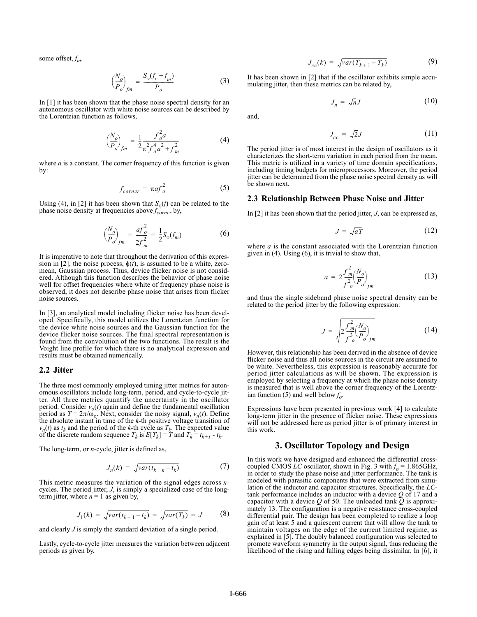some offset, *fm*.

$$
\left(\frac{N_o}{P_o}\right)_{fm} = \frac{S_v(f_c + f_m)}{P_o} \tag{3}
$$

In [1] it has been shown that the phase noise spectral density for an autonomous oscillator with white noise sources can be described by the Lorentzian function as follows,

$$
\left(\frac{N_o}{P_o}\right)_{fm} = \frac{1}{2} \frac{f_o^2 a}{\pi^2 f_o^4 a^2 + f_m^2}
$$
 (4)

where  $a$  is a constant. The corner frequency of this function is given by:

$$
f_{corner} = \pi a f_o^2 \tag{5}
$$

Using (4), in [2] it has been shown that  $S_{\phi}(f)$  can be related to the phase noise density at frequencies above  $f_{corner}^{\dagger}$  by,

$$
\left(\frac{N_o}{P_o}\right)_{fm} = \frac{af_o^2}{2f_m^2} = \frac{1}{2}S_{\phi}(f_m) \tag{6}
$$

It is imperative to note that throughout the derivation of this expression in [2], the noise process,  $\phi(t)$ , is assumed to be a white, zeromean, Gaussian process. Thus, device flicker noise is not considered. Although this function describes the behavior of phase noise well for offset frequencies where white of frequency phase noise is observed, it does not describe phase noise that arises from flicker noise sources.

In [3], an analytical model including flicker noise has been developed. Specifically, this model utilizes the Lorentzian function for the device white noise sources and the Gaussian function for the device flicker noise sources. The final spectral representation is found from the convolution of the two functions. The result is the Voight line profile for which there is no analytical expression and results must be obtained numerically.

#### **2.2 Jitter**

The three most commonly employed timing jitter metrics for autonomous oscillators include long-term, period, and cycle-to-cycle jitter. All three metrics quantify the uncertainty in the oscillator period. Consider  $v<sub>o</sub>(t)$  again and define the fundamental oscillation period as  $T = 2\pi/\omega_0$ . Next, consider the noisy signal,  $v_n(t)$ . Define the absolute instant in time of the *k*-th positive voltage transition of  $v_n(t)$  as  $t_k$  and the period of the *k*-th cycle as  $T_k$ . The expected value of the discrete random sequence  $T_k$  is  $E[T_k] = T$  and  $T_k = t_{k+1} - t_k$ .

The long-term, or *n*-cycle, jitter is defined as,

$$
J_n(k) = \sqrt{var(t_{k+n} - t_k)}\tag{7}
$$

This metric measures the variation of the signal edges across *n*cycles. The period jitter, *J*, is simply a specialized case of the longterm jitter, where  $n = 1$  as given by,

$$
J_1(k) = \sqrt{var(t_{k+1} - t_k)} = \sqrt{var(T_k)} = J \tag{8}
$$

and clearly *J* is simply the standard deviation of a single period.

Lastly, cycle-to-cycle jitter measures the variation between adjacent periods as given by,

$$
J_{cc}(k) = \sqrt{var(T_{k+1} - T_k)}
$$
(9)

It has been shown in [2] that if the oscillator exhibits simple accumulating jitter, then these metrics can be related by,

$$
J_n = \sqrt{n}J \tag{10}
$$

and,

$$
J_{cc} = \sqrt{2}J\tag{11}
$$

The period jitter is of most interest in the design of oscillators as it characterizes the short-term variation in each period from the mean. This metric is utilized in a variety of time domain specifications, including timing budgets for microprocessors. Moreover, the period jitter can be determined from the phase noise spectral density as will be shown next.

#### **2.3 Relationship Between Phase Noise and Jitter**

In [2] it has been shown that the period jitter, *J*, can be expressed as,

$$
J = \sqrt{aT} \tag{12}
$$

where *a* is the constant associated with the Lorentzian function given in (4). Using (6), it is trivial to show that,

$$
a = 2 \frac{f_m^2}{f_o^2} \left(\frac{N_o}{P_o}\right)_{fm}
$$
 (13)

and thus the single sideband phase noise spectral density can be related to the period jitter by the following expression:

$$
J = \sqrt{2 \frac{f_m^2}{f_{o}^3} \left(\frac{N_o}{P_o}\right)_{fm}}
$$
 (14)

However, this relationship has been derived in the absence of device flicker noise and thus all noise sources in the circuit are assumed to be white. Nevertheless, this expression is reasonably accurate for period jitter calculations as will be shown. The expression is employed by selecting a frequency at which the phase noise density is measured that is well above the corner frequency of the Lorentzian function (5) and well below  $f_o$ .

Expressions have been presented in previous work [4] to calculate long-term jitter in the presence of flicker noise. These expressions will not be addressed here as period jitter is of primary interest in this work.

# **3. Oscillator Topology and Design**

In this work we have designed and enhanced the differential crosscoupled CMOS *LC* oscillator, shown in Fig. 3 with  $f_0 = 1.865 \text{GHz}$ , in order to study the phase noise and jitter performance. The tank is modeled with parasitic components that were extracted from simulation of the inductor and capacitor structures. Specifically, the *LC*tank performance includes an inductor with a device *Q* of 17 and a capacitor with a device  $Q$  of 50. The unloaded tank  $\tilde{Q}$  is approximately 13. The configuration is a negative resistance cross-coupled differential pair. The design has been completed to realize a loop gain of at least 5 and a quiescent current that will allow the tank to maintain voltages on the edge of the current limited regime, as explained in [5]. The doubly balanced configuration was selected to promote waveform symmetry in the output signal, thus reducing the likelihood of the rising and falling edges being dissimilar. In [6], it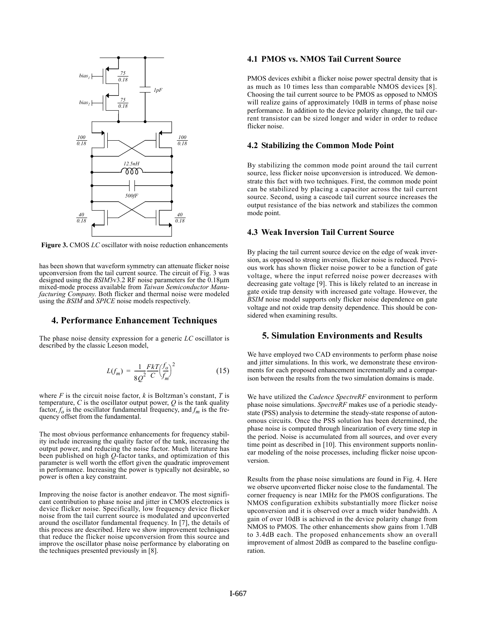

**Figure 3.** CMOS *LC* oscillator with noise reduction enhancements

has been shown that waveform symmetry can attenuate flicker noise upconversion from the tail current source. The circuit of Fig. 3 was designed using the *BSIM*3v3.2 RF noise parameters for the 0.18µm mixed-mode process available from *Taiwan Semiconductor Manufacturing Company*. Both flicker and thermal noise were modeled using the *BSIM* and *SPICE* noise models respectively.

# **4. Performance Enhancement Techniques**

The phase noise density expression for a generic *LC* oscillator is described by the classic Leeson model,

$$
L(f_m) = \frac{1}{8Q^2} \frac{FkT}{C} \left(\frac{f_o}{f_m}\right)^2
$$
 (15)

where  $F$  is the circuit noise factor,  $k$  is Boltzman's constant,  $T$  is temperature,  $C$  is the oscillator output power,  $Q$  is the tank quality factor,  $f_0$  is the oscillator fundamental frequency, and  $f_m$  is the frequency offset from the fundamental.

The most obvious performance enhancements for frequency stability include increasing the quality factor of the tank, increasing the output power, and reducing the noise factor. Much literature has been published on high *Q*-factor tanks, and optimization of this parameter is well worth the effort given the quadratic improvement in performance. Increasing the power is typically not desirable, so power is often a key constraint.

Improving the noise factor is another endeavor. The most significant contribution to phase noise and jitter in CMOS electronics is device flicker noise. Specifically, low frequency device flicker noise from the tail current source is modulated and upconverted around the oscillator fundamental frequency. In [7], the details of this process are described. Here we show improvement techniques that reduce the flicker noise upconversion from this source and improve the oscillator phase noise performance by elaborating on the techniques presented previously in [8].

# **4.1 PMOS vs. NMOS Tail Current Source**

PMOS devices exhibit a flicker noise power spectral density that is as much as 10 times less than comparable NMOS devices [8]. Choosing the tail current source to be PMOS as opposed to NMOS will realize gains of approximately 10dB in terms of phase noise performance. In addition to the device polarity change, the tail current transistor can be sized longer and wider in order to reduce flicker noise.

### **4.2 Stabilizing the Common Mode Point**

By stabilizing the common mode point around the tail current source, less flicker noise upconversion is introduced. We demonstrate this fact with two techniques. First, the common mode point can be stabilized by placing a capacitor across the tail current source. Second, using a cascode tail current source increases the output resistance of the bias network and stabilizes the common mode point.

# **4.3 Weak Inversion Tail Current Source**

By placing the tail current source device on the edge of weak inversion, as opposed to strong inversion, flicker noise is reduced. Previous work has shown flicker noise power to be a function of gate voltage, where the input referred noise power decreases with decreasing gate voltage [9]. This is likely related to an increase in gate oxide trap density with increased gate voltage. However, the *BSIM* noise model supports only flicker noise dependence on gate voltage and not oxide trap density dependence. This should be considered when examining results.

# **5. Simulation Environments and Results**

We have employed two CAD environments to perform phase noise and jitter simulations. In this work, we demonstrate these environments for each proposed enhancement incrementally and a comparison between the results from the two simulation domains is made.

We have utilized the *Cadence SpectreRF* environment to perform phase noise simulations. *SpectreRF* makes use of a periodic steadystate (PSS) analysis to determine the steady-state response of autonomous circuits. Once the PSS solution has been determined, the phase noise is computed through linearization of every time step in the period. Noise is accumulated from all sources, and over every time point as described in [10]. This environment supports nonlinear modeling of the noise processes, including flicker noise upconversion.

Results from the phase noise simulations are found in Fig. 4. Here we observe upconverted flicker noise close to the fundamental. The corner frequency is near 1MHz for the PMOS configurations. The NMOS configuration exhibits substantially more flicker noise upconversion and it is observed over a much wider bandwidth. A gain of over 10dB is achieved in the device polarity change from NMOS to PMOS. The other enhancements show gains from 1.7dB to 3.4dB each. The proposed enhancements show an overall improvement of almost 20dB as compared to the baseline configuration.